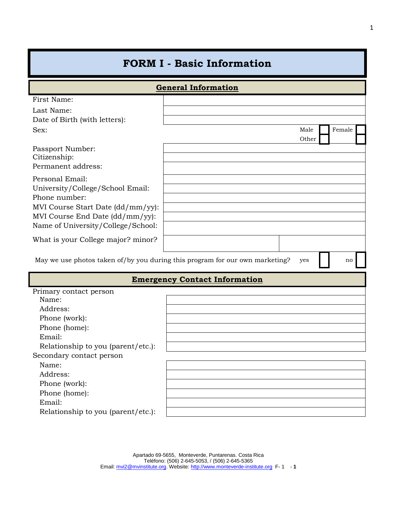## **FORM I - Basic Information**

|                                    | <b>General Information</b>                                                          |        |
|------------------------------------|-------------------------------------------------------------------------------------|--------|
| First Name:                        |                                                                                     |        |
| Last Name:                         |                                                                                     |        |
| Date of Birth (with letters):      |                                                                                     |        |
| Sex:                               | Male                                                                                | Female |
|                                    | Other                                                                               |        |
| Passport Number:                   |                                                                                     |        |
| Citizenship:                       |                                                                                     |        |
| Permanent address:                 |                                                                                     |        |
| Personal Email:                    |                                                                                     |        |
| University/College/School Email:   |                                                                                     |        |
| Phone number:                      |                                                                                     |        |
| MVI Course Start Date (dd/mm/yy):  |                                                                                     |        |
| MVI Course End Date (dd/mm/yy):    |                                                                                     |        |
| Name of University/College/School: |                                                                                     |        |
| What is your College major? minor? |                                                                                     |        |
|                                    |                                                                                     |        |
|                                    | May we use photos taken of/by you during this program for our own marketing?<br>yes | no     |
|                                    | <b>Emergency Contact Information</b>                                                |        |
| Primary contact person             |                                                                                     |        |
| Name:                              |                                                                                     |        |
| Address:                           |                                                                                     |        |
| Phone (work):                      |                                                                                     |        |
| Phone (home):                      |                                                                                     |        |
| Email:                             |                                                                                     |        |
| Relationship to you (parent/etc.): |                                                                                     |        |
| Secondary contact person           |                                                                                     |        |
| Name:                              |                                                                                     |        |
| Address:                           |                                                                                     |        |
| Phone (work):                      |                                                                                     |        |
| Phone (home):                      |                                                                                     |        |
| Email:                             |                                                                                     |        |
| Relationship to you (parent/etc.): |                                                                                     |        |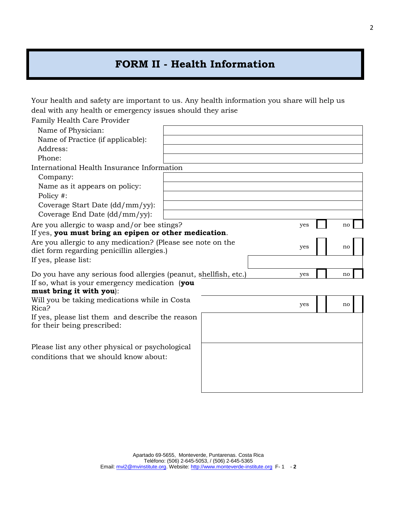## **FORM II - Health Information**

Your health and safety are important to us. Any health information you share will help us deal with any health or emergency issues should they arise

| Family Health Care Provider                                      |     |    |  |
|------------------------------------------------------------------|-----|----|--|
| Name of Physician:                                               |     |    |  |
| Name of Practice (if applicable):                                |     |    |  |
| Address:                                                         |     |    |  |
| Phone:                                                           |     |    |  |
| International Health Insurance Information                       |     |    |  |
| Company:                                                         |     |    |  |
| Name as it appears on policy:                                    |     |    |  |
| Policy #:                                                        |     |    |  |
| Coverage Start Date (dd/mm/yy):                                  |     |    |  |
| Coverage End Date (dd/mm/yy):                                    |     |    |  |
| Are you allergic to wasp and/or bee stings?                      | yes | no |  |
| If yes, you must bring an epipen or other medication.            |     |    |  |
| Are you allergic to any medication? (Please see note on the      | yes | no |  |
| diet form regarding penicillin allergies.)                       |     |    |  |
| If yes, please list:                                             |     |    |  |
| Do you have any serious food allergies (peanut, shellfish, etc.) | yes | no |  |
| If so, what is your emergency medication (you                    |     |    |  |
| must bring it with you):                                         |     |    |  |
| Will you be taking medications while in Costa                    | yes | no |  |
| Rica?                                                            |     |    |  |
| If yes, please list them and describe the reason                 |     |    |  |
| for their being prescribed:                                      |     |    |  |
|                                                                  |     |    |  |
| Please list any other physical or psychological                  |     |    |  |
| conditions that we should know about:                            |     |    |  |
|                                                                  |     |    |  |
|                                                                  |     |    |  |
|                                                                  |     |    |  |
|                                                                  |     |    |  |